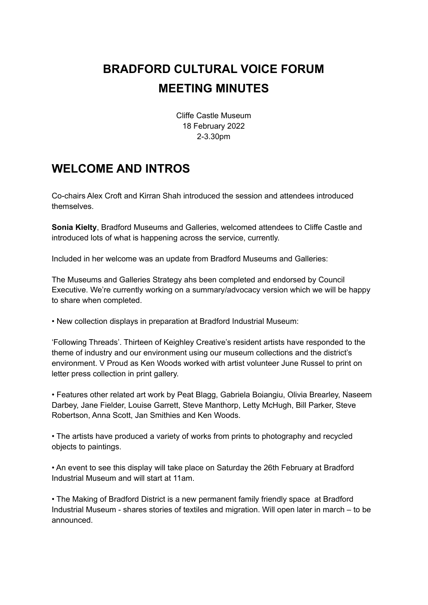# **BRADFORD CULTURAL VOICE FORUM MEETING MINUTES**

Cliffe Castle Museum 18 February 2022 2-3.30pm

### **WELCOME AND INTROS**

Co-chairs Alex Croft and Kirran Shah introduced the session and attendees introduced themselves.

**Sonia Kielty**, Bradford Museums and Galleries, welcomed attendees to Cliffe Castle and introduced lots of what is happening across the service, currently.

Included in her welcome was an update from Bradford Museums and Galleries:

The Museums and Galleries Strategy ahs been completed and endorsed by Council Executive. We're currently working on a summary/advocacy version which we will be happy to share when completed.

• New collection displays in preparation at Bradford Industrial Museum:

'Following Threads'. Thirteen of Keighley Creative's resident artists have responded to the theme of industry and our environment using our museum collections and the district's environment. V Proud as Ken Woods worked with artist volunteer June Russel to print on letter press collection in print gallery.

• Features other related art work by Peat Blagg, Gabriela Boiangiu, Olivia Brearley, Naseem Darbey, Jane Fielder, Louise Garrett, Steve Manthorp, Letty McHugh, Bill Parker, Steve Robertson, Anna Scott, Jan Smithies and Ken Woods.

• The artists have produced a variety of works from prints to photography and recycled objects to paintings.

• An event to see this display will take place on Saturday the 26th February at Bradford Industrial Museum and will start at 11am.

• The Making of Bradford District is a new permanent family friendly space at Bradford Industrial Museum - shares stories of textiles and migration. Will open later in march – to be announced.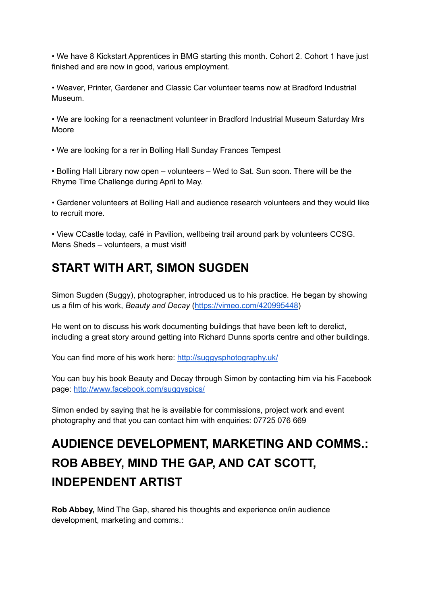• We have 8 Kickstart Apprentices in BMG starting this month. Cohort 2. Cohort 1 have just finished and are now in good, various employment.

• Weaver, Printer, Gardener and Classic Car volunteer teams now at Bradford Industrial Museum.

• We are looking for a reenactment volunteer in Bradford Industrial Museum Saturday Mrs Moore

• We are looking for a rer in Bolling Hall Sunday Frances Tempest

• Bolling Hall Library now open – volunteers – Wed to Sat. Sun soon. There will be the Rhyme Time Challenge during April to May.

• Gardener volunteers at Bolling Hall and audience research volunteers and they would like to recruit more.

• View CCastle today, café in Pavilion, wellbeing trail around park by volunteers CCSG. Mens Sheds – volunteers, a must visit!

## **START WITH ART, SIMON SUGDEN**

Simon Sugden (Suggy), photographer, introduced us to his practice. He began by showing us a film of his work, *Beauty and Decay* [\(https://vimeo.com/420995448](https://vimeo.com/420995448))

He went on to discuss his work documenting buildings that have been left to derelict, including a great story around getting into Richard Dunns sports centre and other buildings.

You can find more of his work here: <http://suggysphotography.uk/>

You can buy his book Beauty and Decay through Simon by contacting him via his Facebook page: <http://www.facebook.com/suggyspics/>

Simon ended by saying that he is available for commissions, project work and event photography and that you can contact him with enquiries: 07725 076 669

# **AUDIENCE DEVELOPMENT, MARKETING AND COMMS.: ROB ABBEY, MIND THE GAP, AND CAT SCOTT, INDEPENDENT ARTIST**

**Rob Abbey,** Mind The Gap, shared his thoughts and experience on/in audience development, marketing and comms.: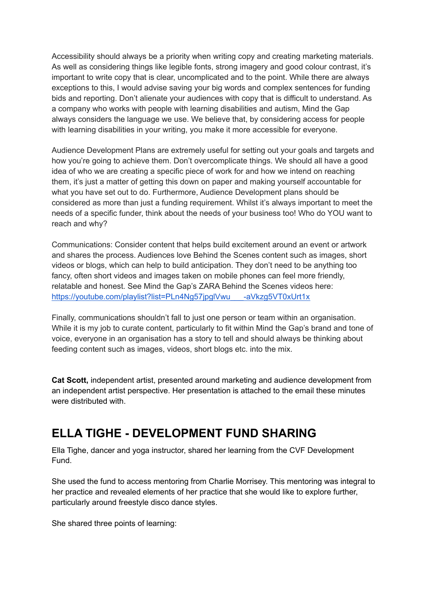Accessibility should always be a priority when writing copy and creating marketing materials. As well as considering things like legible fonts, strong imagery and good colour contrast, it's important to write copy that is clear, uncomplicated and to the point. While there are always exceptions to this, I would advise saving your big words and complex sentences for funding bids and reporting. Don't alienate your audiences with copy that is difficult to understand. As a company who works with people with learning disabilities and autism, Mind the Gap always considers the language we use. We believe that, by considering access for people with learning disabilities in your writing, you make it more accessible for everyone.

Audience Development Plans are extremely useful for setting out your goals and targets and how you're going to achieve them. Don't overcomplicate things. We should all have a good idea of who we are creating a specific piece of work for and how we intend on reaching them, it's just a matter of getting this down on paper and making yourself accountable for what you have set out to do. Furthermore, Audience Development plans should be considered as more than just a funding requirement. Whilst it's always important to meet the needs of a specific funder, think about the needs of your business too! Who do YOU want to reach and why?

Communications: Consider content that helps build excitement around an event or artwork and shares the process. Audiences love Behind the Scenes content such as images, short videos or blogs, which can help to build anticipation. They don't need to be anything too fancy, often short videos and images taken on mobile phones can feel more friendly, relatable and honest. See Mind the Gap's ZARA Behind the Scenes videos here: [https://youtube.com/playlist?list=PLn4Ng57jpglVwu\\_\\_\\_-aVkzg5VT0xUrt1x](https://youtube.com/playlist?list=PLn4Ng57jpglVwu___-aVkzg5VT0xUrt1x)

Finally, communications shouldn't fall to just one person or team within an organisation. While it is my job to curate content, particularly to fit within Mind the Gap's brand and tone of voice, everyone in an organisation has a story to tell and should always be thinking about feeding content such as images, videos, short blogs etc. into the mix.

**Cat Scott,** independent artist, presented around marketing and audience development from an independent artist perspective. Her presentation is attached to the email these minutes were distributed with

### **ELLA TIGHE - DEVELOPMENT FUND SHARING**

Ella Tighe, dancer and yoga instructor, shared her learning from the CVF Development Fund.

She used the fund to access mentoring from Charlie Morrisey. This mentoring was integral to her practice and revealed elements of her practice that she would like to explore further, particularly around freestyle disco dance styles.

She shared three points of learning: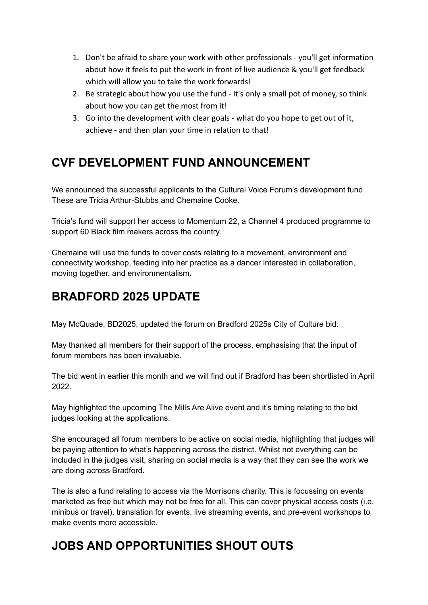- 1. Don't be afraid to share your work with other professionals you'll get information about how it feels to put the work in front of live audience & you'll get feedback which will allow you to take the work forwards!
- 2. Be strategic about how you use the fund it's only a small pot of money, so think about how you can get the most from it!
- 3. Go into the development with clear goals what do you hope to get out of it, achieve - and then plan your time in relation to that!

# **CVF DEVELOPMENT FUND ANNOUNCEMENT**

We announced the successful applicants to the Cultural Voice Forum's development fund. These are Tricia Arthur-Stubbs and Chemaine Cooke.

Tricia's fund will support her access to Momentum 22, a Channel 4 produced programme to support 60 Black film makers across the country.

Chemaine will use the funds to cover costs relating to a movement, environment and connectivity workshop, feeding into her practice as a dancer interested in collaboration, moving together, and environmentalism.

# **BRADFORD 2025 UPDATE**

May McQuade, BD2025, updated the forum on Bradford 2025s City of Culture bid.

May thanked all members for their support of the process, emphasising that the input of forum members has been invaluable.

The bid went in earlier this month and we will find out if Bradford has been shortlisted in April 2022.

May highlighted the upcoming The Mills Are Alive event and it's timing relating to the bid judges looking at the applications.

She encouraged all forum members to be active on social media, highlighting that judges will be paying attention to what's happening across the district. Whilst not everything can be included in the judges visit, sharing on social media is a way that they can see the work we are doing across Bradford.

The is also a fund relating to access via the Morrisons charity. This is focussing on events marketed as free but which may not be free for all. This can cover physical access costs (i.e. minibus or travel), translation for events, live streaming events, and pre-event workshops to make events more accessible.

# **JOBS AND OPPORTUNITIES SHOUT OUTS**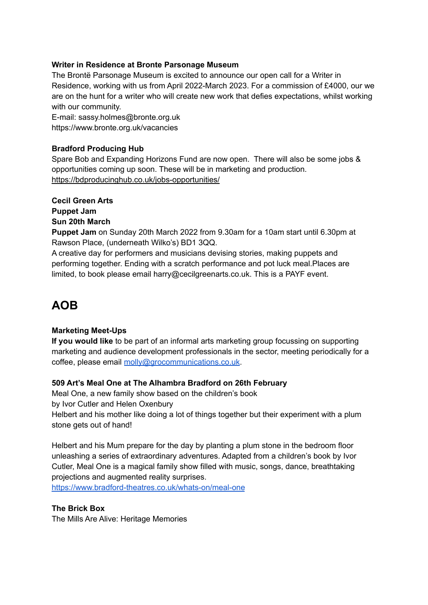#### **Writer in Residence at Bronte Parsonage Museum**

The Brontë Parsonage Museum is excited to announce our open call for a Writer in Residence, working with us from April 2022-March 2023. For a commission of £4000, our we are on the hunt for a writer who will create new work that defies expectations, whilst working with our community.

E-mail: sassy.holmes@bronte.org.uk https://www.bronte.org.uk/vacancies

#### **Bradford Producing Hub**

Spare Bob and Expanding Horizons Fund are now open. There will also be some jobs & opportunities coming up soon. These will be in marketing and production. <https://bdproducinghub.co.uk/jobs-opportunities/>

#### **Cecil Green Arts**

**Puppet Jam Sun 20th March**

**Puppet Jam** on Sunday 20th March 2022 from 9.30am for a 10am start until 6.30pm at Rawson Place, (underneath Wilko's) BD1 3QQ.

A creative day for performers and musicians devising stories, making puppets and performing together. Ending with a scratch performance and pot luck meal.Places are limited, to book please email harry@cecilgreenarts.co.uk. This is a PAYF event.

### **AOB**

#### **Marketing Meet-Ups**

**If you would like** to be part of an informal arts marketing group focussing on supporting marketing and audience development professionals in the sector, meeting periodically for a coffee, please email [molly@grocommunications.co.uk](mailto:molly@grocommunications.co.uk).

#### **509 Art's Meal One at The Alhambra Bradford on 26th February**

Meal One, a new family show based on the children's book by Ivor Cutler and Helen Oxenbury Helbert and his mother like doing a lot of things together but their experiment with a plum stone gets out of hand!

Helbert and his Mum prepare for the day by planting a plum stone in the bedroom floor unleashing a series of extraordinary adventures. Adapted from a children's book by Ivor Cutler, Meal One is a magical family show filled with music, songs, dance, breathtaking projections and augmented reality surprises.

<https://www.bradford-theatres.co.uk/whats-on/meal-one>

#### **The Brick Box**

The Mills Are Alive: Heritage Memories